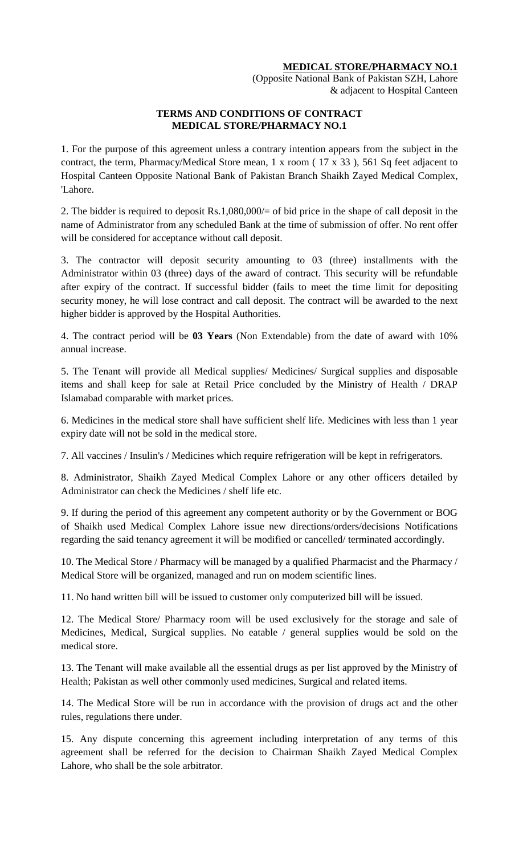### **MEDICAL STORE/PHARMACY NO.1**

(Opposite National Bank of Pakistan SZH, Lahore & adjacent to Hospital Canteen

### **TERMS AND CONDITIONS OF CONTRACT MEDICAL STORE/PHARMACY NO.1**

1. For the purpose of this agreement unless a contrary intention appears from the subject in the contract, the term, Pharmacy/Medical Store mean, 1 x room ( 17 x 33 ), 561 Sq feet adjacent to Hospital Canteen Opposite National Bank of Pakistan Branch Shaikh Zayed Medical Complex, 'Lahore.

2. The bidder is required to deposit Rs.1,080,000/= of bid price in the shape of call deposit in the name of Administrator from any scheduled Bank at the time of submission of offer. No rent offer will be considered for acceptance without call deposit.

3. The contractor will deposit security amounting to 03 (three) installments with the Administrator within 03 (three) days of the award of contract. This security will be refundable after expiry of the contract. If successful bidder (fails to meet the time limit for depositing security money, he will lose contract and call deposit. The contract will be awarded to the next higher bidder is approved by the Hospital Authorities.

4. The contract period will be **03 Years** (Non Extendable) from the date of award with 10% annual increase.

5. The Tenant will provide all Medical supplies/ Medicines/ Surgical supplies and disposable items and shall keep for sale at Retail Price concluded by the Ministry of Health / DRAP Islamabad comparable with market prices.

6. Medicines in the medical store shall have sufficient shelf life. Medicines with less than 1 year expiry date will not be sold in the medical store.

7. All vaccines / Insulin's / Medicines which require refrigeration will be kept in refrigerators.

8. Administrator, Shaikh Zayed Medical Complex Lahore or any other officers detailed by Administrator can check the Medicines / shelf life etc.

9. If during the period of this agreement any competent authority or by the Government or BOG of Shaikh used Medical Complex Lahore issue new directions/orders/decisions Notifications regarding the said tenancy agreement it will be modified or cancelled/ terminated accordingly.

10. The Medical Store / Pharmacy will be managed by a qualified Pharmacist and the Pharmacy / Medical Store will be organized, managed and run on modem scientific lines.

11. No hand written bill will be issued to customer only computerized bill will be issued.

12. The Medical Store/ Pharmacy room will be used exclusively for the storage and sale of Medicines, Medical, Surgical supplies. No eatable / general supplies would be sold on the medical store.

13. The Tenant will make available all the essential drugs as per list approved by the Ministry of Health; Pakistan as well other commonly used medicines, Surgical and related items.

14. The Medical Store will be run in accordance with the provision of drugs act and the other rules, regulations there under.

15. Any dispute concerning this agreement including interpretation of any terms of this agreement shall be referred for the decision to Chairman Shaikh Zayed Medical Complex Lahore, who shall be the sole arbitrator.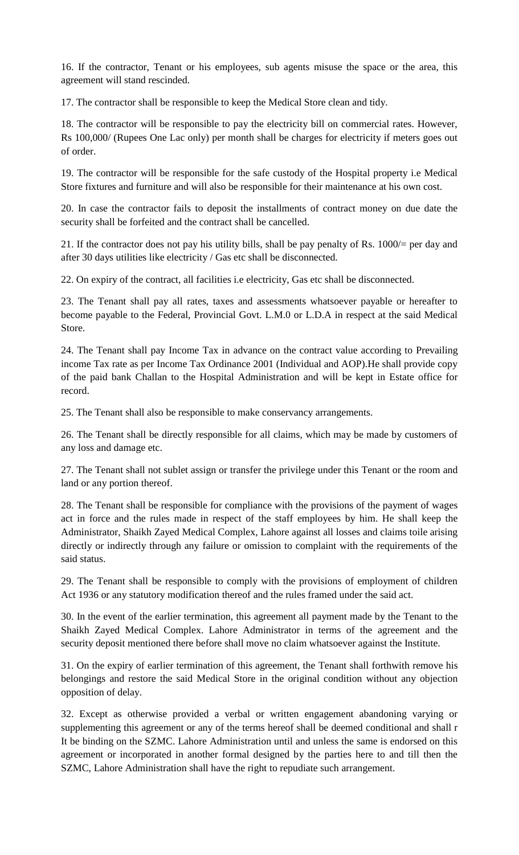16. If the contractor, Tenant or his employees, sub agents misuse the space or the area, this agreement will stand rescinded.

17. The contractor shall be responsible to keep the Medical Store clean and tidy.

18. The contractor will be responsible to pay the electricity bill on commercial rates. However, Rs 100,000/ (Rupees One Lac only) per month shall be charges for electricity if meters goes out of order.

19. The contractor will be responsible for the safe custody of the Hospital property i.e Medical Store fixtures and furniture and will also be responsible for their maintenance at his own cost.

20. In case the contractor fails to deposit the installments of contract money on due date the security shall be forfeited and the contract shall be cancelled.

21. If the contractor does not pay his utility bills, shall be pay penalty of Rs. 1000/= per day and after 30 days utilities like electricity / Gas etc shall be disconnected.

22. On expiry of the contract, all facilities i.e electricity, Gas etc shall be disconnected.

23. The Tenant shall pay all rates, taxes and assessments whatsoever payable or hereafter to become payable to the Federal, Provincial Govt. L.M.0 or L.D.A in respect at the said Medical Store.

24. The Tenant shall pay Income Tax in advance on the contract value according to Prevailing income Tax rate as per Income Tax Ordinance 2001 (Individual and AOP).He shall provide copy of the paid bank Challan to the Hospital Administration and will be kept in Estate office for record.

25. The Tenant shall also be responsible to make conservancy arrangements.

26. The Tenant shall be directly responsible for all claims, which may be made by customers of any loss and damage etc.

27. The Tenant shall not sublet assign or transfer the privilege under this Tenant or the room and land or any portion thereof.

28. The Tenant shall be responsible for compliance with the provisions of the payment of wages act in force and the rules made in respect of the staff employees by him. He shall keep the Administrator, Shaikh Zayed Medical Complex, Lahore against all losses and claims toile arising directly or indirectly through any failure or omission to complaint with the requirements of the said status.

29. The Tenant shall be responsible to comply with the provisions of employment of children Act 1936 or any statutory modification thereof and the rules framed under the said act.

30. In the event of the earlier termination, this agreement all payment made by the Tenant to the Shaikh Zayed Medical Complex. Lahore Administrator in terms of the agreement and the security deposit mentioned there before shall move no claim whatsoever against the Institute.

31. On the expiry of earlier termination of this agreement, the Tenant shall forthwith remove his belongings and restore the said Medical Store in the original condition without any objection opposition of delay.

32. Except as otherwise provided a verbal or written engagement abandoning varying or supplementing this agreement or any of the terms hereof shall be deemed conditional and shall r It be binding on the SZMC. Lahore Administration until and unless the same is endorsed on this agreement or incorporated in another formal designed by the parties here to and till then the SZMC, Lahore Administration shall have the right to repudiate such arrangement.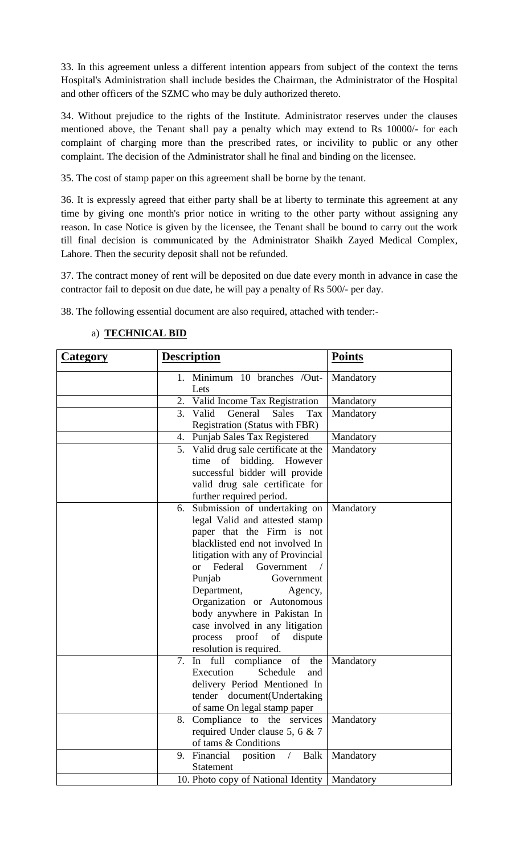33. In this agreement unless a different intention appears from subject of the context the terns Hospital's Administration shall include besides the Chairman, the Administrator of the Hospital and other officers of the SZMC who may be duly authorized thereto.

34. Without prejudice to the rights of the Institute. Administrator reserves under the clauses mentioned above, the Tenant shall pay a penalty which may extend to Rs 10000/- for each complaint of charging more than the prescribed rates, or incivility to public or any other complaint. The decision of the Administrator shall he final and binding on the licensee.

35. The cost of stamp paper on this agreement shall be borne by the tenant.

36. It is expressly agreed that either party shall be at liberty to terminate this agreement at any time by giving one month's prior notice in writing to the other party without assigning any reason. In case Notice is given by the licensee, the Tenant shall be bound to carry out the work till final decision is communicated by the Administrator Shaikh Zayed Medical Complex, Lahore. Then the security deposit shall not be refunded.

37. The contract money of rent will be deposited on due date every month in advance in case the contractor fail to deposit on due date, he will pay a penalty of Rs 500/- per day.

38. The following essential document are also required, attached with tender:-

| <b>Category</b> | <b>Description</b>                                                                                                                                                                                                                                                                                                                                                                                                     | <b>Points</b> |
|-----------------|------------------------------------------------------------------------------------------------------------------------------------------------------------------------------------------------------------------------------------------------------------------------------------------------------------------------------------------------------------------------------------------------------------------------|---------------|
|                 | 1. Minimum 10 branches /Out-<br>Lets                                                                                                                                                                                                                                                                                                                                                                                   | Mandatory     |
|                 | 2. Valid Income Tax Registration                                                                                                                                                                                                                                                                                                                                                                                       | Mandatory     |
|                 | $\overline{3}$ .<br>General<br><b>Sales</b><br>Valid<br>Tax<br><b>Registration (Status with FBR)</b>                                                                                                                                                                                                                                                                                                                   | Mandatory     |
|                 | 4. Punjab Sales Tax Registered                                                                                                                                                                                                                                                                                                                                                                                         | Mandatory     |
|                 | 5. Valid drug sale certificate at the<br>of bidding. However<br>time<br>successful bidder will provide<br>valid drug sale certificate for<br>further required period.                                                                                                                                                                                                                                                  | Mandatory     |
|                 | 6. Submission of undertaking on<br>legal Valid and attested stamp<br>paper that the Firm is not<br>blacklisted end not involved In<br>litigation with any of Provincial<br>Federal<br>Government<br>or<br>Punjab<br>Government<br>Department,<br>Agency,<br>Organization or Autonomous<br>body anywhere in Pakistan In<br>case involved in any litigation<br>process proof<br>of<br>dispute<br>resolution is required. | Mandatory     |
|                 | 7. In full compliance<br>of<br>the<br>Execution<br>Schedule<br>and<br>delivery Period Mentioned In<br>tender document(Undertaking<br>of same On legal stamp paper                                                                                                                                                                                                                                                      | Mandatory     |
|                 | 8. Compliance to the services<br>required Under clause 5, 6 & 7<br>of tams & Conditions                                                                                                                                                                                                                                                                                                                                | Mandatory     |
|                 | 9. Financial position /<br>Balk<br>Statement                                                                                                                                                                                                                                                                                                                                                                           | Mandatory     |
|                 | 10. Photo copy of National Identity                                                                                                                                                                                                                                                                                                                                                                                    | Mandatory     |

## a) **TECHNICAL BID**